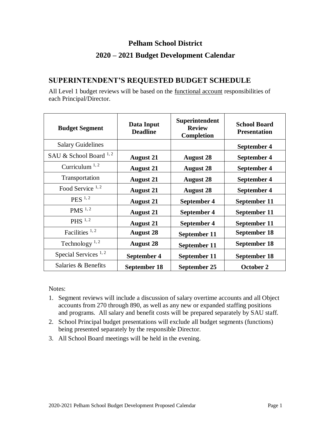## **Pelham School District**

## **2020 – 2021 Budget Development Calendar**

### **SUPERINTENDENT'S REQUESTED BUDGET SCHEDULE**

All Level 1 budget reviews will be based on the <u>functional account</u> responsibilities of each Principal/Director.

| <b>Budget Segment</b>       | Data Input<br><b>Deadline</b> | Superintendent<br><b>Review</b><br><b>Completion</b> | <b>School Board</b><br><b>Presentation</b> |
|-----------------------------|-------------------------------|------------------------------------------------------|--------------------------------------------|
| <b>Salary Guidelines</b>    |                               |                                                      | September 4                                |
| SAU & School Board $^{1,2}$ | <b>August 21</b>              | <b>August 28</b>                                     | September 4                                |
| Curriculum $^{1,2}$         | <b>August 21</b>              | <b>August 28</b>                                     | September 4                                |
| Transportation              | <b>August 21</b>              | <b>August 28</b>                                     | September 4                                |
| Food Service $1, 2$         | <b>August 21</b>              | <b>August 28</b>                                     | September 4                                |
| $PES$ <sup>1,2</sup>        | <b>August 21</b>              | September 4                                          | September 11                               |
| PMS $^{1,2}$                | <b>August 21</b>              | September 4                                          | September 11                               |
| PHS $^{1,2}$                | <b>August 21</b>              | September 4                                          | September 11                               |
| Facilities $1, 2$           | <b>August 28</b>              | September 11                                         | <b>September 18</b>                        |
| Technology <sup>1,2</sup>   | <b>August 28</b>              | September 11                                         | <b>September 18</b>                        |
| Special Services $1, 2$     | September 4                   | September 11                                         | September 18                               |
| Salaries & Benefits         | September 18                  | September 25                                         | October 2                                  |

Notes:

- 1. Segment reviews will include a discussion of salary overtime accounts and all Object accounts from 270 through 890, as well as any new or expanded staffing positions and programs. All salary and benefit costs will be prepared separately by SAU staff.
- 2. School Principal budget presentations will exclude all budget segments (functions) being presented separately by the responsible Director.
- 3. All School Board meetings will be held in the evening.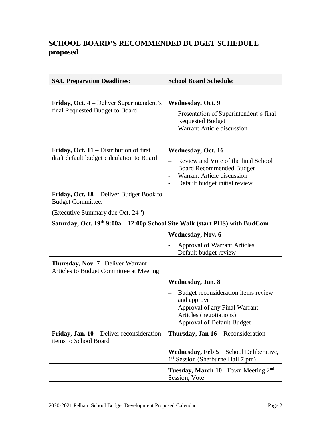# **SCHOOL BOARD'S RECOMMENDED BUDGET SCHEDULE – proposed**

| <b>SAU Preparation Deadlines:</b>                                                      | <b>School Board Schedule:</b>                                                                                                                                      |  |  |
|----------------------------------------------------------------------------------------|--------------------------------------------------------------------------------------------------------------------------------------------------------------------|--|--|
|                                                                                        |                                                                                                                                                                    |  |  |
| <b>Friday, Oct. 4</b> – Deliver Superintendent's<br>final Requested Budget to Board    | <b>Wednesday, Oct. 9</b><br>Presentation of Superintendent's final<br><b>Requested Budget</b><br>Warrant Article discussion                                        |  |  |
| Friday, Oct. $11$ – Distribution of first<br>draft default budget calculation to Board | <b>Wednesday, Oct. 16</b><br>Review and Vote of the final School<br><b>Board Recommended Budget</b><br>Warrant Article discussion<br>Default budget initial review |  |  |
| <b>Friday, Oct. 18</b> – Deliver Budget Book to<br><b>Budget Committee.</b>            |                                                                                                                                                                    |  |  |
| (Executive Summary due Oct. $24th$ )                                                   |                                                                                                                                                                    |  |  |
| Saturday, Oct. 19th 9:00a - 12:00p School Site Walk (start PHS) with BudCom            |                                                                                                                                                                    |  |  |
|                                                                                        | <b>Wednesday, Nov. 6</b>                                                                                                                                           |  |  |
|                                                                                        | <b>Approval of Warrant Articles</b><br>Default budget review                                                                                                       |  |  |
| Thursday, Nov. 7-Deliver Warrant<br>Articles to Budget Committee at Meeting.           |                                                                                                                                                                    |  |  |
|                                                                                        | Wednesday, Jan. 8                                                                                                                                                  |  |  |
|                                                                                        | Budget reconsideration items review<br>and approve<br>Approval of any Final Warrant<br>Articles (negotiations)<br><b>Approval of Default Budget</b>                |  |  |
| <b>Friday, Jan. 10</b> – Deliver reconsideration<br>items to School Board              | <b>Thursday, Jan <math>16</math></b> – Reconsideration                                                                                                             |  |  |
|                                                                                        | <b>Wednesday, Feb <math>5</math></b> – School Deliberative,<br>1 <sup>st</sup> Session (Sherburne Hall 7 pm)                                                       |  |  |
|                                                                                        | Tuesday, March 10 - Town Meeting 2 <sup>nd</sup><br>Session, Vote                                                                                                  |  |  |